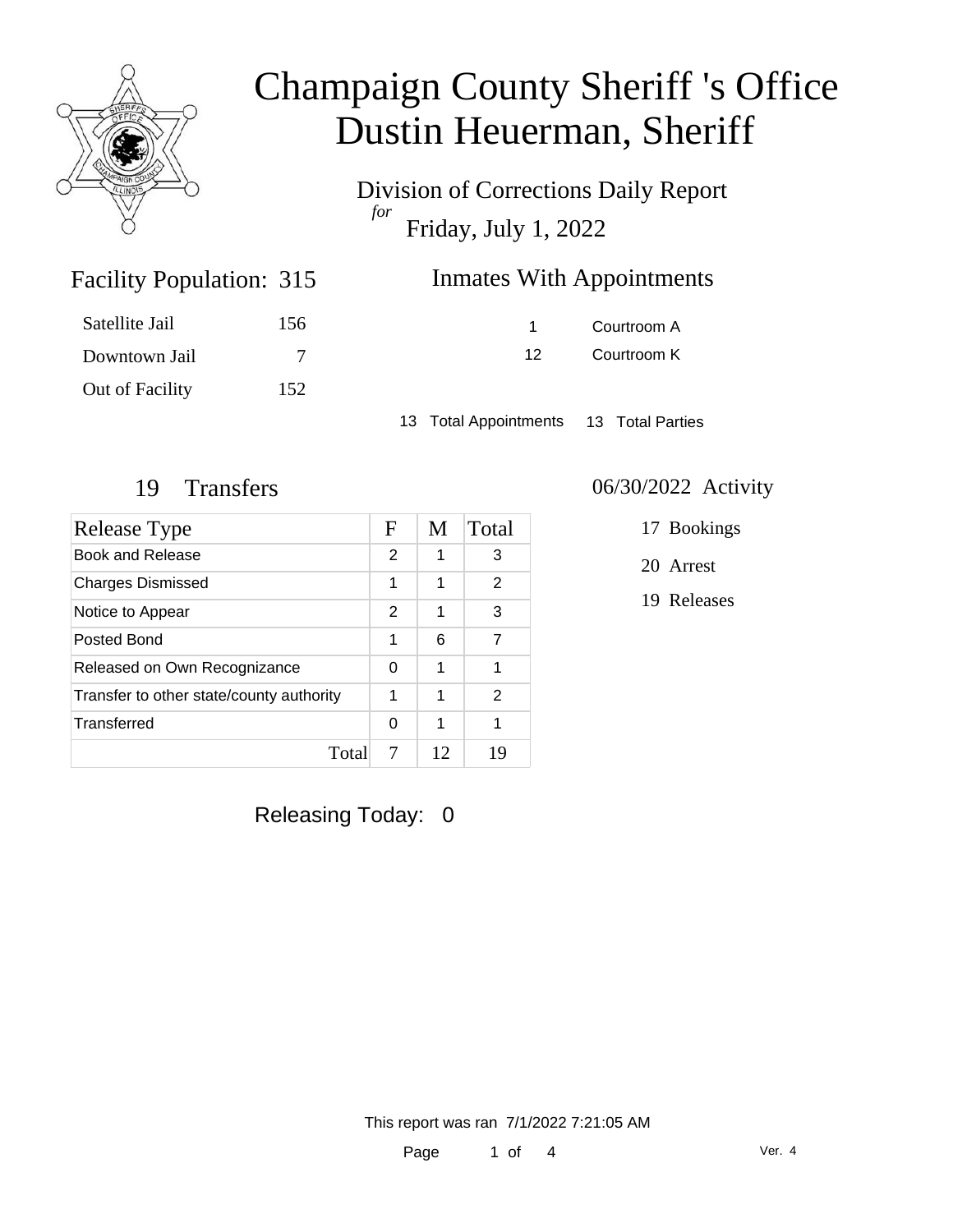

Division of Corrections Daily Report *for* Friday, July 1, 2022

| 315 | <b>Inmates With Appointments</b> |
|-----|----------------------------------|
|-----|----------------------------------|

| Satellite Jail  | 156 |
|-----------------|-----|
| Downtown Jail   | 7   |
| Out of Facility | 152 |

Facility Population: 315

1 Courtroom A 12 Courtroom K

13 Total Appointments 13 Total Parties

| Release Type                             |   | M  | Total |
|------------------------------------------|---|----|-------|
| Book and Release                         |   | 1  | 3     |
| <b>Charges Dismissed</b>                 |   | 1  | 2     |
| Notice to Appear                         | 2 | 1  | 3     |
| Posted Bond                              |   | 6  | 7     |
| Released on Own Recognizance             |   | 1  | 1     |
| Transfer to other state/county authority |   | 1  | 2     |
| Transferred                              | 0 | 1  | 1     |
| Total                                    | 7 | 12 | 19    |

Releasing Today: 0

#### 19 Transfers 06/30/2022 Activity

17 Bookings

20 Arrest

19 Releases

This report was ran 7/1/2022 7:21:05 AM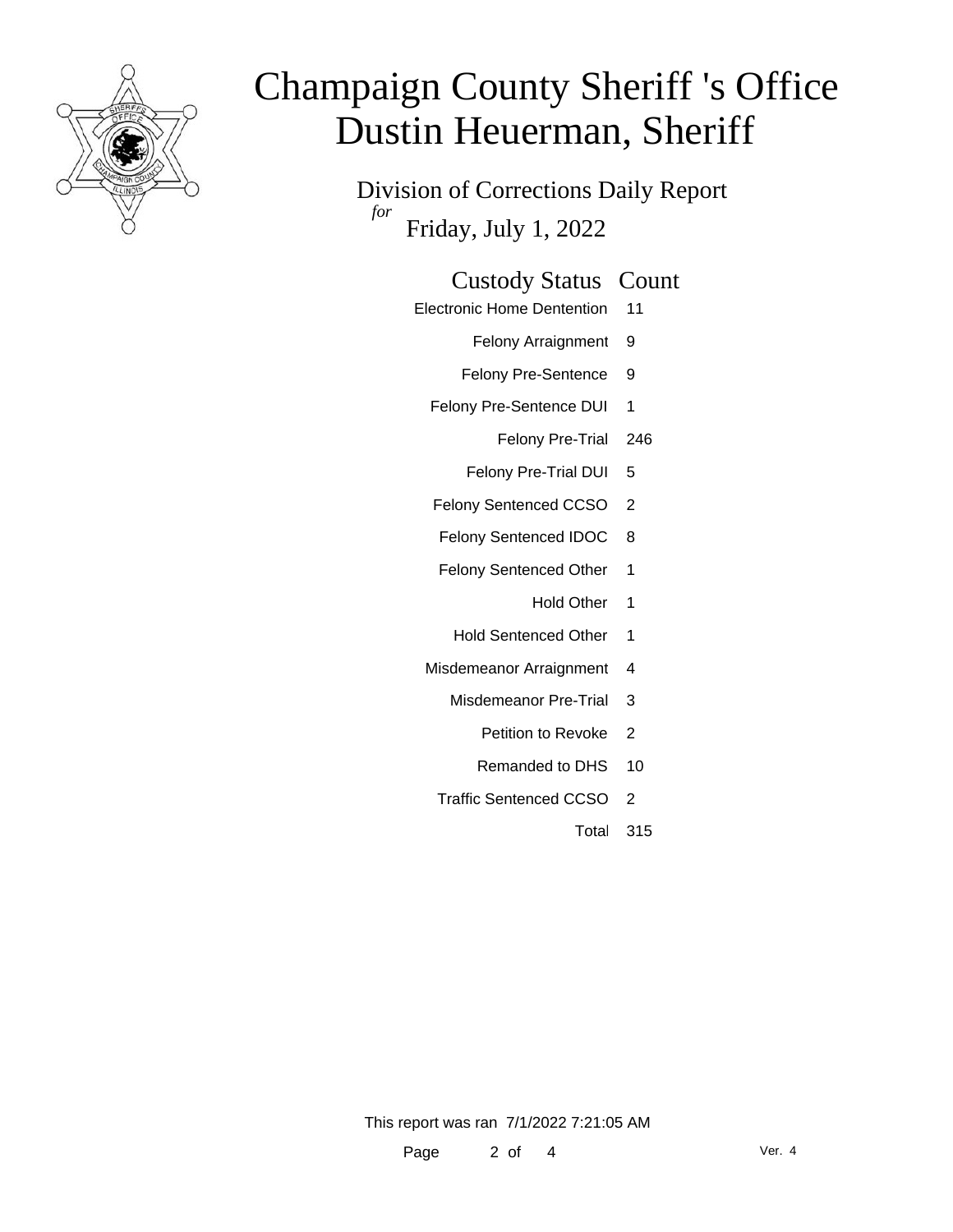

Division of Corrections Daily Report *for* Friday, July 1, 2022

#### Custody Status Count

- Electronic Home Dentention 11
	- Felony Arraignment 9
	- Felony Pre-Sentence 9
	- Felony Pre-Sentence DUI 1
		- Felony Pre-Trial 246
		- Felony Pre-Trial DUI 5
	- Felony Sentenced CCSO 2
	- Felony Sentenced IDOC 8
	- Felony Sentenced Other 1
		- Hold Other 1
		- Hold Sentenced Other 1
	- Misdemeanor Arraignment 4
		- Misdemeanor Pre-Trial 3
			- Petition to Revoke 2
			- Remanded to DHS 10
		- Traffic Sentenced CCSO 2
			- Total 315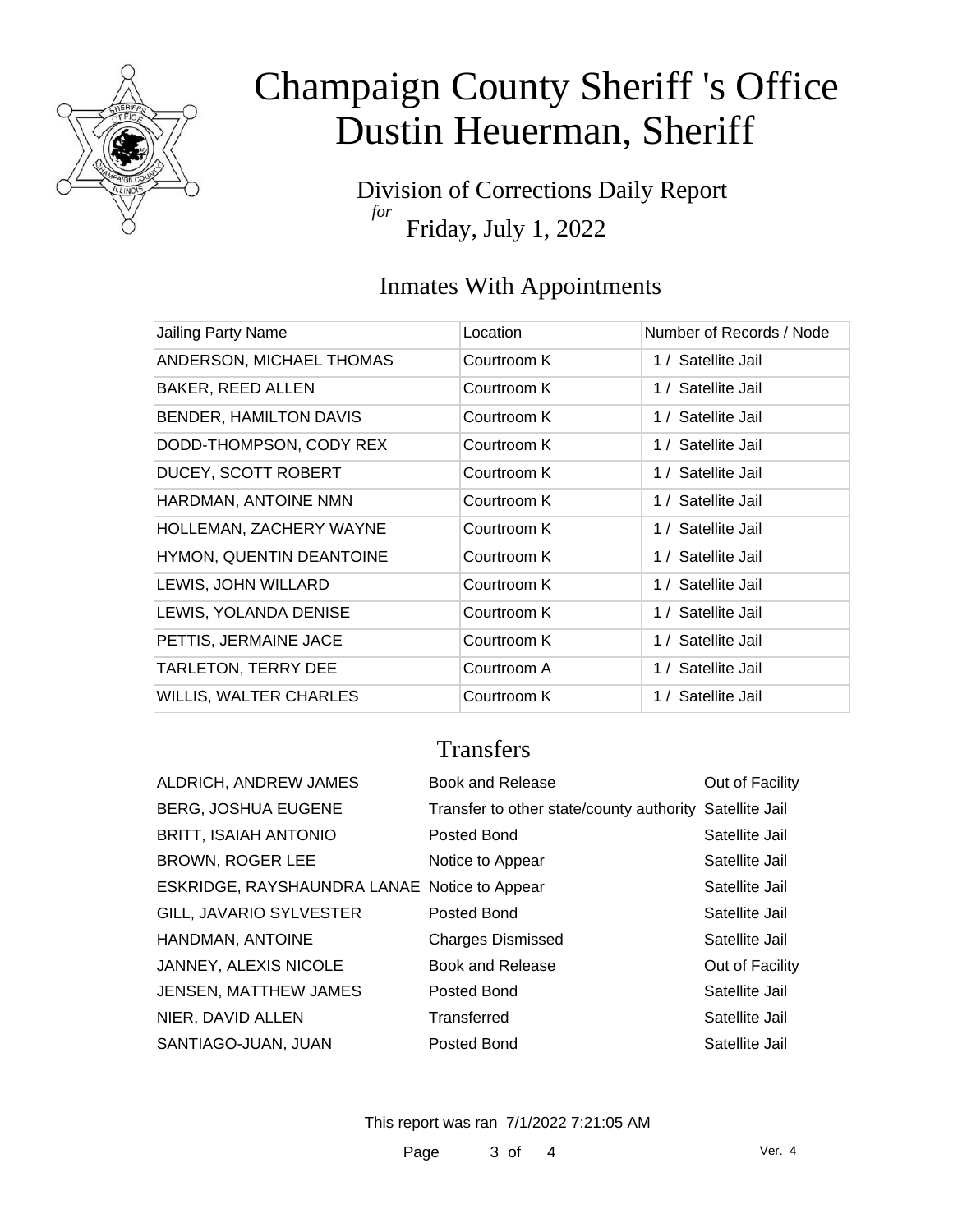

Division of Corrections Daily Report *for* Friday, July 1, 2022

### Inmates With Appointments

| Jailing Party Name            | Location    | Number of Records / Node |
|-------------------------------|-------------|--------------------------|
| ANDERSON, MICHAEL THOMAS      | Courtroom K | 1 / Satellite Jail       |
| BAKER, REED ALLEN             | Courtroom K | 1 / Satellite Jail       |
| <b>BENDER, HAMILTON DAVIS</b> | Courtroom K | 1 / Satellite Jail       |
| DODD-THOMPSON, CODY REX       | Courtroom K | 1 / Satellite Jail       |
| DUCEY, SCOTT ROBERT           | Courtroom K | 1 / Satellite Jail       |
| HARDMAN, ANTOINE NMN          | Courtroom K | 1 / Satellite Jail       |
| HOLLEMAN, ZACHERY WAYNE       | Courtroom K | 1 / Satellite Jail       |
| HYMON, QUENTIN DEANTOINE      | Courtroom K | 1 / Satellite Jail       |
| LEWIS, JOHN WILLARD           | Courtroom K | 1 / Satellite Jail       |
| LEWIS, YOLANDA DENISE         | Courtroom K | 1 / Satellite Jail       |
| PETTIS, JERMAINE JACE         | Courtroom K | 1 / Satellite Jail       |
| TARLETON, TERRY DEE           | Courtroom A | 1 / Satellite Jail       |
| <b>WILLIS, WALTER CHARLES</b> | Courtroom K | 1 / Satellite Jail       |

### **Transfers**

| ALDRICH, ANDREW JAMES                        | Book and Release                                        | Out of Facility |
|----------------------------------------------|---------------------------------------------------------|-----------------|
| <b>BERG, JOSHUA EUGENE</b>                   | Transfer to other state/county authority Satellite Jail |                 |
| <b>BRITT, ISAIAH ANTONIO</b>                 | Posted Bond                                             | Satellite Jail  |
| <b>BROWN, ROGER LEE</b>                      | Notice to Appear                                        | Satellite Jail  |
| ESKRIDGE, RAYSHAUNDRA LANAE Notice to Appear |                                                         | Satellite Jail  |
| GILL, JAVARIO SYLVESTER                      | Posted Bond                                             | Satellite Jail  |
| HANDMAN, ANTOINE                             | <b>Charges Dismissed</b>                                | Satellite Jail  |
| JANNEY, ALEXIS NICOLE                        | Book and Release                                        | Out of Facility |
| JENSEN, MATTHEW JAMES                        | Posted Bond                                             | Satellite Jail  |
| NIER, DAVID ALLEN                            | Transferred                                             | Satellite Jail  |
| SANTIAGO-JUAN, JUAN                          | Posted Bond                                             | Satellite Jail  |

This report was ran 7/1/2022 7:21:05 AM